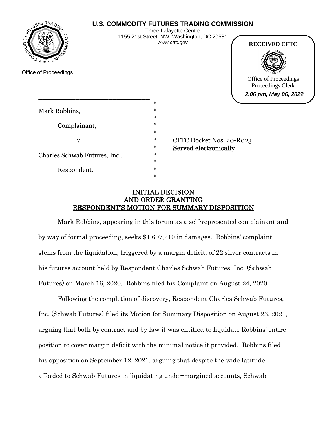# **U.S. COMMODITY FUTURES TRADING COMMISSION**



Office of Proceedings

Three Lafayette Centre 1155 21st Street, NW, Washington, DC 20581 *www.cftc.gov*



Office of Proceedings Proceedings Clerk **2:06 pm, May 06, 2022**

|                               | $\ast$ |
|-------------------------------|--------|
| Mark Robbins,                 | $\ast$ |
|                               | $\ast$ |
| Complainant,                  | $\ast$ |
|                               | $\ast$ |
| V.                            | $\ast$ |
|                               | $\ast$ |
| Charles Schwab Futures, Inc., | $\ast$ |
|                               | $\ast$ |
| Respondent.                   | $\ast$ |
|                               | $\ast$ |

\_\_\_\_\_\_\_\_\_\_\_\_\_\_\_\_\_\_\_\_\_\_\_\_\_\_\_

CFTC Docket Nos. 20-R023 Served electronically

# INITIAL DECISION AND ORDER GRANTING RESPONDENT'S MOTION FOR SUMMARY DISPOSITION

Mark Robbins, appearing in this forum as a self-represented complainant and by way of formal proceeding, seeks \$1,607,210 in damages. Robbins' complaint stems from the liquidation, triggered by a margin deficit, of 22 silver contracts in his futures account held by Respondent Charles Schwab Futures, Inc. (Schwab Futures) on March 16, 2020. Robbins filed his Complaint on August 24, 2020.

Following the completion of discovery, Respondent Charles Schwab Futures, Inc. (Schwab Futures) filed its Motion for Summary Disposition on August 23, 2021, arguing that both by contract and by law it was entitled to liquidate Robbins' entire position to cover margin deficit with the minimal notice it provided. Robbins filed his opposition on September 12, 2021, arguing that despite the wide latitude afforded to Schwab Futures in liquidating under-margined accounts, Schwab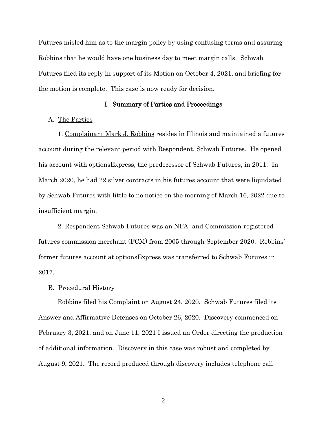Futures misled him as to the margin policy by using confusing terms and assuring Robbins that he would have one business day to meet margin calls. Schwab Futures filed its reply in support of its Motion on October 4, 2021, and briefing for the motion is complete. This case is now ready for decision.

#### I. Summary of Parties and Proceedings

#### A. The Parties

1. Complainant Mark J. Robbins resides in Illinois and maintained a futures account during the relevant period with Respondent, Schwab Futures. He opened his account with optionsExpress, the predecessor of Schwab Futures, in 2011. In March 2020, he had 22 silver contracts in his futures account that were liquidated by Schwab Futures with little to no notice on the morning of March 16, 2022 due to insufficient margin.

2. Respondent Schwab Futures was an NFA- and Commission-registered futures commission merchant (FCM) from 2005 through September 2020. Robbins' former futures account at optionsExpress was transferred to Schwab Futures in 2017.

## B. Procedural History

Robbins filed his Complaint on August 24, 2020. Schwab Futures filed its Answer and Affirmative Defenses on October 26, 2020. Discovery commenced on February 3, 2021, and on June 11, 2021 I issued an Order directing the production of additional information. Discovery in this case was robust and completed by August 9, 2021. The record produced through discovery includes telephone call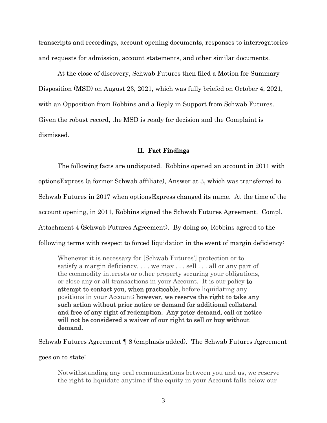transcripts and recordings, account opening documents, responses to interrogatories and requests for admission, account statements, and other similar documents.

At the close of discovery, Schwab Futures then filed a Motion for Summary Disposition (MSD) on August 23, 2021, which was fully briefed on October 4, 2021, with an Opposition from Robbins and a Reply in Support from Schwab Futures. Given the robust record, the MSD is ready for decision and the Complaint is dismissed.

#### II. Fact Findings

The following facts are undisputed. Robbins opened an account in 2011 with optionsExpress (a former Schwab affiliate), Answer at 3, which was transferred to Schwab Futures in 2017 when optionsExpress changed its name. At the time of the account opening, in 2011, Robbins signed the Schwab Futures Agreement. Compl. Attachment 4 (Schwab Futures Agreement). By doing so, Robbins agreed to the following terms with respect to forced liquidation in the event of margin deficiency:

Whenever it is necessary for [Schwab Futures'] protection or to satisfy a margin deficiency, . . . we may . . . sell . . . all or any part of the commodity interests or other property securing your obligations, or close any or all transactions in your Account. It is our policy to attempt to contact you, when practicable, before liquidating any positions in your Account; however, we reserve the right to take any such action without prior notice or demand for additional collateral and free of any right of redemption. Any prior demand, call or notice will not be considered a waiver of our right to sell or buy without demand.

Schwab Futures Agreement ¶ 8 (emphasis added). The Schwab Futures Agreement

goes on to state:

Notwithstanding any oral communications between you and us, we reserve the right to liquidate anytime if the equity in your Account falls below our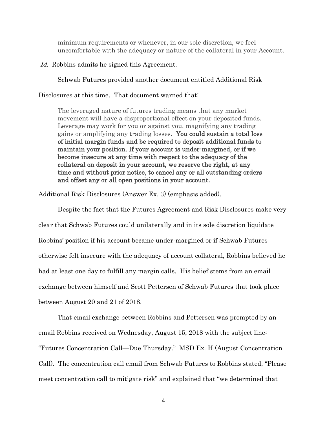minimum requirements or whenever, in our sole discretion, we feel uncomfortable with the adequacy or nature of the collateral in your Account.

## Id. Robbins admits he signed this Agreement.

Schwab Futures provided another document entitled Additional Risk

Disclosures at this time. That document warned that:

The leveraged nature of futures trading means that any market movement will have a disproportional effect on your deposited funds. Leverage may work for you or against you, magnifying any trading gains or amplifying any trading losses. You could sustain a total loss of initial margin funds and be required to deposit additional funds to maintain your position. If your account is under-margined, or if we become insecure at any time with respect to the adequacy of the collateral on deposit in your account, we reserve the right, at any time and without prior notice, to cancel any or all outstanding orders and offset any or all open positions in your account.

Additional Risk Disclosures (Answer Ex. 3) (emphasis added).

Despite the fact that the Futures Agreement and Risk Disclosures make very clear that Schwab Futures could unilaterally and in its sole discretion liquidate Robbins' position if his account became under-margined or if Schwab Futures otherwise felt insecure with the adequacy of account collateral, Robbins believed he had at least one day to fulfill any margin calls. His belief stems from an email exchange between himself and Scott Pettersen of Schwab Futures that took place between August 20 and 21 of 2018.

That email exchange between Robbins and Pettersen was prompted by an email Robbins received on Wednesday, August 15, 2018 with the subject line: "Futures Concentration Call—Due Thursday." MSD Ex. H (August Concentration Call). The concentration call email from Schwab Futures to Robbins stated, "Please meet concentration call to mitigate risk" and explained that "we determined that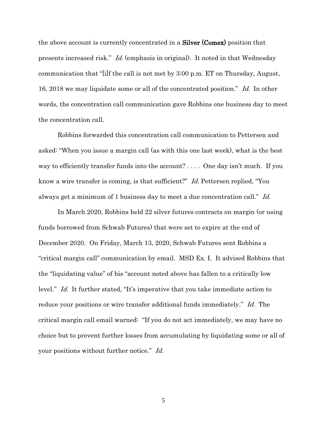the above account is currently concentrated in a Silver (Comex) position that presents increased risk." Id. (emphasis in original). It noted in that Wednesday communication that "[i]f the call is not met by 3:00 p.m. ET on Thursday, August, 16, 2018 we may liquidate some or all of the concentrated position." Id. In other words, the concentration call communication gave Robbins one business day to meet the concentration call.

Robbins forwarded this concentration call communication to Pettersen and asked: "When you issue a margin call (as with this one last week), what is the best way to efficiently transfer funds into the account? ... One day isn't much. If you know a wire transfer is coming, is that sufficient?" Id. Pettersen replied, "You always get a minimum of 1 business day to meet a due concentration call." Id.

In March 2020, Robbins held 22 silver futures contracts on margin (or using funds borrowed from Schwab Futures) that were set to expire at the end of December 2020. On Friday, March 13, 2020, Schwab Futures sent Robbins a "critical margin call" communication by email. MSD Ex. I. It advised Robbins that the "liquidating value" of his "account noted above has fallen to a critically low level." Id. It further stated, "It's imperative that you take immediate action to reduce your positions or wire transfer additional funds immediately." Id. The critical margin call email warned: "If you do not act immediately, we may have no choice but to prevent further losses from accumulating by liquidating some or all of your positions without further notice." Id.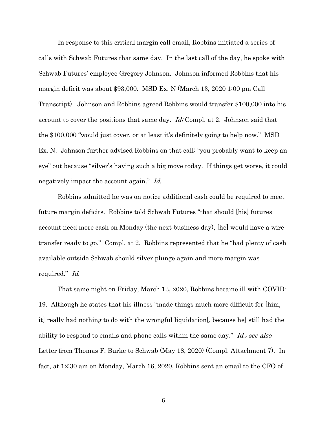In response to this critical margin call email, Robbins initiated a series of calls with Schwab Futures that same day. In the last call of the day, he spoke with Schwab Futures' employee Gregory Johnson. Johnson informed Robbins that his margin deficit was about \$93,000. MSD Ex. N (March 13, 2020 1:00 pm Call Transcript). Johnson and Robbins agreed Robbins would transfer \$100,000 into his account to cover the positions that same day. Id; Compl. at 2. Johnson said that the \$100,000 "would just cover, or at least it's definitely going to help now." MSD Ex. N. Johnson further advised Robbins on that call: "you probably want to keep an eye" out because "silver's having such a big move today. If things get worse, it could negatively impact the account again." Id.

Robbins admitted he was on notice additional cash could be required to meet future margin deficits. Robbins told Schwab Futures "that should [his] futures account need more cash on Monday (the next business day), [he] would have a wire transfer ready to go." Compl. at 2. Robbins represented that he "had plenty of cash available outside Schwab should silver plunge again and more margin was required." Id.

That same night on Friday, March 13, 2020, Robbins became ill with COVID-19. Although he states that his illness "made things much more difficult for [him, it] really had nothing to do with the wrongful liquidation[, because he] still had the ability to respond to emails and phone calls within the same day." Id.; see also Letter from Thomas F. Burke to Schwab (May 18, 2020) (Compl. Attachment 7). In fact, at 12:30 am on Monday, March 16, 2020, Robbins sent an email to the CFO of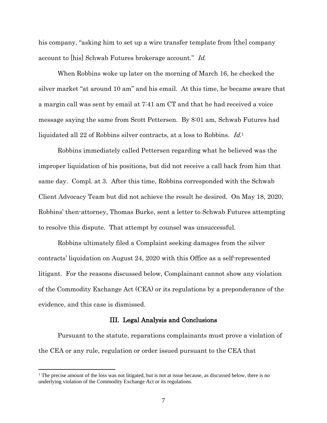his company, "asking him to set up a wire transfer template from [the] company account to [his] Schwab Futures brokerage account." Id.

When Robbins woke up later on the morning of March 16, he checked the silver market "at around 10 am" and his email. At this time, he became aware that a margin call was sent by email at 7:41 am CT and that he had received a voice message saying the same from Scott Pettersen. By 8:01 am, Schwab Futures had liquidated all 22 of Robbins silver contracts, at a loss to Robbins. Id.1

Robbins immediately called Pettersen regarding what he believed was the improper liquidation of his positions, but did not receive a call back from him that same day. Compl. at 3. After this time, Robbins corresponded with the Schwab Client Advocacy Team but did not achieve the result he desired. On May 18, 2020, Robbins' then-attorney, Thomas Burke, sent a letter to Schwab Futures attempting to resolve this dispute. That attempt by counsel was unsuccessful.

Robbins ultimately filed a Complaint seeking damages from the silver contracts' liquidation on August 24, 2020 with this Office as a self-represented litigant. For the reasons discussed below, Complainant cannot show any violation of the Commodity Exchange Act (CEA) or its regulations by a preponderance of the evidence, and this case is dismissed.

## III. Legal Analysis and Conclusions

Pursuant to the statute, reparations complainants must prove a violation of the CEA or any rule, regulation or order issued pursuant to the CEA that

 $\overline{a}$ 

 $<sup>1</sup>$  The precise amount of the loss was not litigated, but is not at issue because, as discussed below, there is no</sup> underlying violation of the Commodity Exchange Act or its regulations.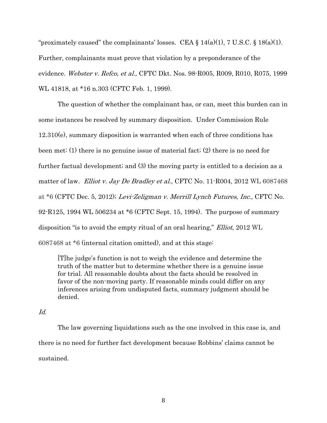"proximately caused" the complainants' losses. CEA  $\S 14(a)(1)$ , 7 U.S.C.  $\S 18(a)(1)$ . Further, complainants must prove that violation by a preponderance of the evidence. Webster v. Refco, et al., CFTC Dkt. Nos. 98-R005, R009, R010, R075, 1999 WL 41818, at \*16 n.303 (CFTC Feb. 1, 1999).

The question of whether the complainant has, or can, meet this burden can in some instances be resolved by summary disposition. Under Commission Rule 12.310(e), summary disposition is warranted when each of three conditions has been met: (1) there is no genuine issue of material fact; (2) there is no need for further factual development; and (3) the moving party is entitled to a decision as a matter of law. Elliot v. Jay De Bradley et al., CFTC No. 11-R004, 2012 WL 6087468 at \*6 (CFTC Dec. 5, 2012); Levi-Zeligman v. Merrill Lynch Futures, Inc., CFTC No. 92-R125, 1994 WL 506234 at \*6 (CFTC Sept. 15, 1994). The purpose of summary disposition "is to avoid the empty ritual of an oral hearing," Elliot, 2012 WL 6087468 at \*6 (internal citation omitted), and at this stage:

[T]he judge's function is not to weigh the evidence and determine the truth of the matter but to determine whether there is a genuine issue for trial. All reasonable doubts about the facts should be resolved in favor of the non-moving party. If reasonable minds could differ on any inferences arising from undisputed facts, summary judgment should be denied.

### Id.

The law governing liquidations such as the one involved in this case is, and there is no need for further fact development because Robbins' claims cannot be sustained.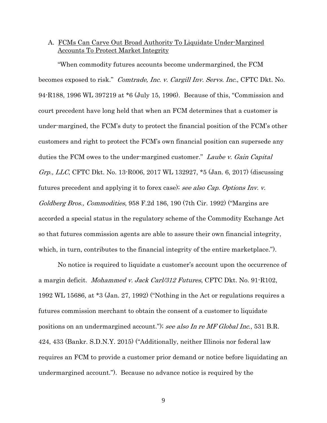# A. FCMs Can Carve Out Broad Authority To Liquidate Under-Margined Accounts To Protect Market Integrity

"When commodity futures accounts become undermargined, the FCM becomes exposed to risk." Comtrade, Inc. v. Cargill Inv. Servs. Inc., CFTC Dkt. No. 94-R188, 1996 WL 397219 at \*6 (July 15, 1996). Because of this, "Commission and court precedent have long held that when an FCM determines that a customer is under-margined, the FCM's duty to protect the financial position of the FCM's other customers and right to protect the FCM's own financial position can supersede any duties the FCM owes to the under-margined customer." Laube v. Gain Capital Grp., LLC, CFTC Dkt. No. 13-R006, 2017 WL 132927, \*5 (Jan. 6, 2017) (discussing futures precedent and applying it to forex case); see also Cap. Options Inv. v. Goldberg Bros., Commodities, 958 F.2d 186, 190 (7th Cir. 1992) ("Margins are accorded a special status in the regulatory scheme of the Commodity Exchange Act so that futures commission agents are able to assure their own financial integrity, which, in turn, contributes to the financial integrity of the entire marketplace.").

No notice is required to liquidate a customer's account upon the occurrence of a margin deficit. Mohammed v. Jack Carl/312 Futures, CFTC Dkt. No. 91-R102, 1992 WL 15686, at \*3 (Jan. 27, 1992) ("Nothing in the Act or regulations requires a futures commission merchant to obtain the consent of a customer to liquidate positions on an undermargined account."); see also In re MF Global Inc., 531 B.R. 424, 433 (Bankr. S.D.N.Y. 2015) ("Additionally, neither Illinois nor federal law requires an FCM to provide a customer prior demand or notice before liquidating an undermargined account."). Because no advance notice is required by the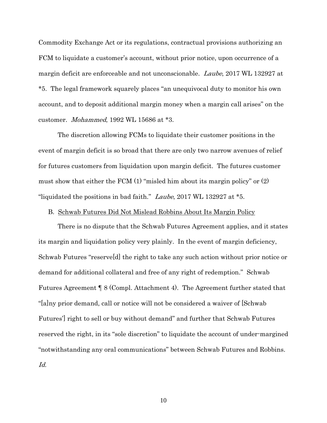Commodity Exchange Act or its regulations, contractual provisions authorizing an FCM to liquidate a customer's account, without prior notice, upon occurrence of a margin deficit are enforceable and not unconscionable. Laube, 2017 WL 132927 at \*5. The legal framework squarely places "an unequivocal duty to monitor his own account, and to deposit additional margin money when a margin call arises" on the customer. Mohammed, 1992 WL 15686 at \*3.

The discretion allowing FCMs to liquidate their customer positions in the event of margin deficit is so broad that there are only two narrow avenues of relief for futures customers from liquidation upon margin deficit. The futures customer must show that either the FCM (1) "misled him about its margin policy" or (2) "liquidated the positions in bad faith." Laube, 2017 WL 132927 at \*5.

## B. Schwab Futures Did Not Mislead Robbins About Its Margin Policy

There is no dispute that the Schwab Futures Agreement applies, and it states its margin and liquidation policy very plainly. In the event of margin deficiency, Schwab Futures "reserve[d] the right to take any such action without prior notice or demand for additional collateral and free of any right of redemption." Schwab Futures Agreement ¶ 8 (Compl. Attachment 4). The Agreement further stated that "[a]ny prior demand, call or notice will not be considered a waiver of [Schwab Futures'] right to sell or buy without demand" and further that Schwab Futures reserved the right, in its "sole discretion" to liquidate the account of under-margined "notwithstanding any oral communications" between Schwab Futures and Robbins. Id.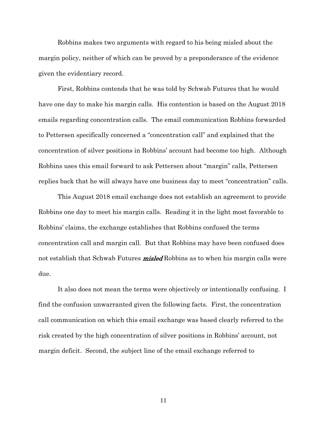Robbins makes two arguments with regard to his being misled about the margin policy, neither of which can be proved by a preponderance of the evidence given the evidentiary record.

First, Robbins contends that he was told by Schwab Futures that he would have one day to make his margin calls. His contention is based on the August 2018 emails regarding concentration calls. The email communication Robbins forwarded to Pettersen specifically concerned a "concentration call" and explained that the concentration of silver positions in Robbins' account had become too high. Although Robbins uses this email forward to ask Pettersen about "margin" calls, Pettersen replies back that he will always have one business day to meet "concentration" calls.

This August 2018 email exchange does not establish an agreement to provide Robbins one day to meet his margin calls. Reading it in the light most favorable to Robbins' claims, the exchange establishes that Robbins confused the terms concentration call and margin call. But that Robbins may have been confused does not establish that Schwab Futures **misled** Robbins as to when his margin calls were due.

It also does not mean the terms were objectively or intentionally confusing. I find the confusion unwarranted given the following facts. First, the concentration call communication on which this email exchange was based clearly referred to the risk created by the high concentration of silver positions in Robbins' account, not margin deficit. Second, the subject line of the email exchange referred to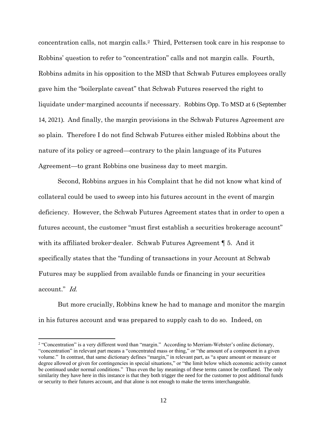concentration calls, not margin calls. <sup>2</sup> Third, Pettersen took care in his response to Robbins' question to refer to "concentration" calls and not margin calls. Fourth, Robbins admits in his opposition to the MSD that Schwab Futures employees orally gave him the "boilerplate caveat" that Schwab Futures reserved the right to liquidate under-margined accounts if necessary. Robbins Opp. To MSD at 6 (September 14, 2021). And finally, the margin provisions in the Schwab Futures Agreement are so plain. Therefore I do not find Schwab Futures either misled Robbins about the nature of its policy or agreed—contrary to the plain language of its Futures Agreement—to grant Robbins one business day to meet margin.

Second, Robbins argues in his Complaint that he did not know what kind of collateral could be used to sweep into his futures account in the event of margin deficiency. However, the Schwab Futures Agreement states that in order to open a futures account, the customer "must first establish a securities brokerage account" with its affiliated broker-dealer. Schwab Futures Agreement ¶ 5. And it specifically states that the "funding of transactions in your Account at Schwab Futures may be supplied from available funds or financing in your securities account." Id.

But more crucially, Robbins knew he had to manage and monitor the margin in his futures account and was prepared to supply cash to do so. Indeed, on

 $\overline{a}$ 

<sup>2</sup> "Concentration" is a very different word than "margin." According to Merriam-Webster's online dictionary, "concentration" in relevant part means a "concentrated mass or thing," or "the amount of a component in a given volume." In contrast, that same dictionary defines "margin," in relevant part, as "a spare amount or measure or degree allowed or given for contingencies in special situations," or "the limit below which economic activity cannot be continued under normal conditions." Thus even the lay meanings of these terms cannot be conflated. The only similarity they have here in this instance is that they both trigger the need for the customer to post additional funds or security to their futures account, and that alone is not enough to make the terms interchangeable.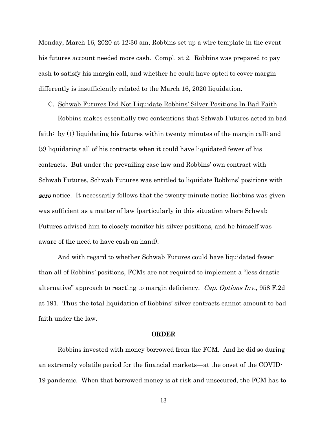Monday, March 16, 2020 at 12:30 am, Robbins set up a wire template in the event his futures account needed more cash. Compl. at 2. Robbins was prepared to pay cash to satisfy his margin call, and whether he could have opted to cover margin differently is insufficiently related to the March 16, 2020 liquidation.

#### C. Schwab Futures Did Not Liquidate Robbins' Silver Positions In Bad Faith

Robbins makes essentially two contentions that Schwab Futures acted in bad faith: by (1) liquidating his futures within twenty minutes of the margin call; and (2) liquidating all of his contracts when it could have liquidated fewer of his contracts. But under the prevailing case law and Robbins' own contract with Schwab Futures, Schwab Futures was entitled to liquidate Robbins' positions with **zero** notice. It necessarily follows that the twenty-minute notice Robbins was given was sufficient as a matter of law (particularly in this situation where Schwab Futures advised him to closely monitor his silver positions, and he himself was aware of the need to have cash on hand).

And with regard to whether Schwab Futures could have liquidated fewer than all of Robbins' positions, FCMs are not required to implement a "less drastic alternative" approach to reacting to margin deficiency. Cap. Options Inv., 958 F.2d at 191. Thus the total liquidation of Robbins' silver contracts cannot amount to bad faith under the law.

#### ORDER

Robbins invested with money borrowed from the FCM. And he did so during an extremely volatile period for the financial markets—at the onset of the COVID-19 pandemic. When that borrowed money is at risk and unsecured, the FCM has to